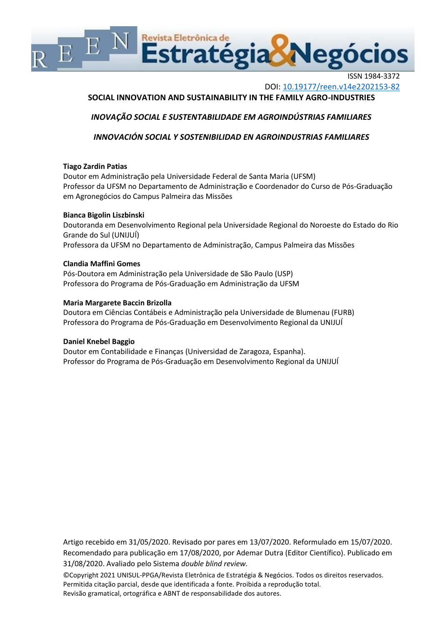

ISSN 1984-3372 DOI: <10.19177/reen.v14e2202153-82>

# **SOCIAL INNOVATION AND SUSTAINABILITY IN THE FAMILY AGRO-INDUSTRIES**

*INOVAÇÃO SOCIAL E SUSTENTABILIDADE EM AGROINDÚSTRIAS FAMILIARES*

*INNOVACIÓN SOCIAL Y SOSTENIBILIDAD EN AGROINDUSTRIAS FAMILIARES*

## **Tiago Zardin Patias**

Doutor em Administração pela Universidade Federal de Santa Maria (UFSM) Professor da UFSM no Departamento de Administração e Coordenador do Curso de Pós-Graduação em Agronegócios do Campus Palmeira das Missões

# **Bianca Bigolin Liszbinski**

Doutoranda em Desenvolvimento Regional pela Universidade Regional do Noroeste do Estado do Rio Grande do Sul (UNIJUÍ) Professora da UFSM no Departamento de Administração, Campus Palmeira das Missões

# **Clandia Maffini Gomes**

Pós-Doutora em Administração pela Universidade de São Paulo (USP) Professora do Programa de Pós-Graduação em Administração da UFSM

# **Maria Margarete Baccin Brizolla**

Doutora em Ciências Contábeis e Administração pela Universidade de Blumenau (FURB) Professora do Programa de Pós-Graduação em Desenvolvimento Regional da UNIJUÍ

## **Daniel Knebel Baggio**

Doutor em Contabilidade e Finanças (Universidad de Zaragoza, Espanha). Professor do Programa de Pós-Graduação em Desenvolvimento Regional da UNIJUÍ

Artigo recebido em 31/05/2020. Revisado por pares em 13/07/2020. Reformulado em 15/07/2020. Recomendado para publicação em 17/08/2020, por Ademar Dutra (Editor Científico). Publicado em 31/08/2020. Avaliado pelo Sistema *double blind review.*

©Copyright 2021 UNISUL-PPGA/Revista Eletrônica de Estratégia & Negócios. Todos os direitos reservados. Permitida citação parcial, desde que identificada a fonte. Proibida a reprodução total. Revisão gramatical, ortográfica e ABNT de responsabilidade dos autores.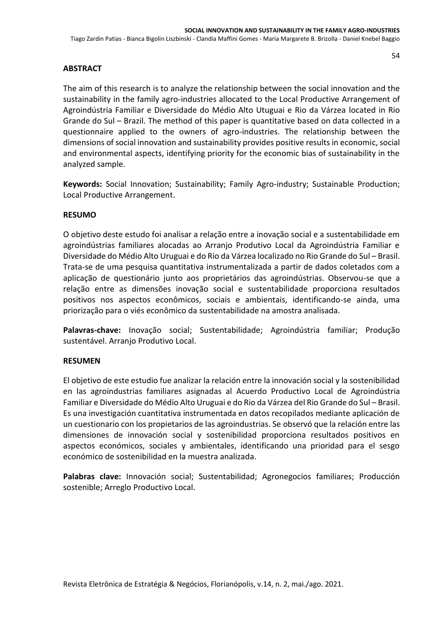# **ABSTRACT**

The aim of this research is to analyze the relationship between the social innovation and the sustainability in the family agro-industries allocated to the Local Productive Arrangement of Agroindústria Familiar e Diversidade do Médio Alto Utuguai e Rio da Várzea located in Rio Grande do Sul – Brazil. The method of this paper is quantitative based on data collected in a questionnaire applied to the owners of agro-industries. The relationship between the dimensions of social innovation and sustainability provides positive results in economic, social and environmental aspects, identifying priority for the economic bias of sustainability in the analyzed sample.

**Keywords:** Social Innovation; Sustainability; Family Agro-industry; Sustainable Production; Local Productive Arrangement.

# **RESUMO**

O objetivo deste estudo foi analisar a relação entre a inovação social e a sustentabilidade em agroindústrias familiares alocadas ao Arranjo Produtivo Local da Agroindústria Familiar e Diversidade do Médio Alto Uruguai e do Rio da Várzea localizado no Rio Grande do Sul – Brasil. Trata-se de uma pesquisa quantitativa instrumentalizada a partir de dados coletados com a aplicação de questionário junto aos proprietários das agroindústrias. Observou-se que a relação entre as dimensões inovação social e sustentabilidade proporciona resultados positivos nos aspectos econômicos, sociais e ambientais, identificando-se ainda, uma priorização para o viés econômico da sustentabilidade na amostra analisada.

**Palavras-chave:** Inovação social; Sustentabilidade; Agroindústria familiar; Produção sustentável. Arranjo Produtivo Local.

## **RESUMEN**

El objetivo de este estudio fue analizar la relación entre la innovación social y la sostenibilidad en las agroindustrias familiares asignadas al Acuerdo Productivo Local de Agroindústria Familiar e Diversidade do Médio Alto Uruguai e do Rio da Várzea del Rio Grande do Sul – Brasil. Es una investigación cuantitativa instrumentada en datos recopilados mediante aplicación de un cuestionario con los propietarios de las agroindustrias. Se observó que la relación entre las dimensiones de innovación social y sostenibilidad proporciona resultados positivos en aspectos económicos, sociales y ambientales, identificando una prioridad para el sesgo económico de sostenibilidad en la muestra analizada.

**Palabras clave:** Innovación social; Sustentabilidad; Agronegocios familiares; Producción sostenible; Arreglo Productivo Local.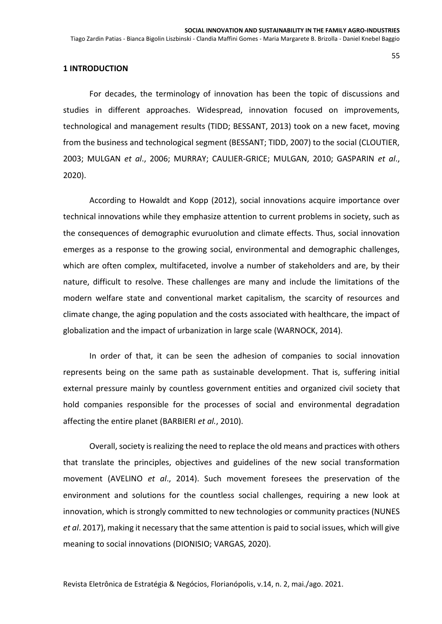## **1 INTRODUCTION**

For decades, the terminology of innovation has been the topic of discussions and studies in different approaches. Widespread, innovation focused on improvements, technological and management results (TIDD; BESSANT, 2013) took on a new facet, moving from the business and technological segment (BESSANT; TIDD, 2007) to the social (CLOUTIER, 2003; MULGAN *et al*., 2006; MURRAY; CAULIER-GRICE; MULGAN, 2010; GASPARIN *et al*., 2020).

According to Howaldt and Kopp (2012), social innovations acquire importance over technical innovations while they emphasize attention to current problems in society, such as the consequences of demographic evuruolution and climate effects. Thus, social innovation emerges as a response to the growing social, environmental and demographic challenges, which are often complex, multifaceted, involve a number of stakeholders and are, by their nature, difficult to resolve. These challenges are many and include the limitations of the modern welfare state and conventional market capitalism, the scarcity of resources and climate change, the aging population and the costs associated with healthcare, the impact of globalization and the impact of urbanization in large scale (WARNOCK, 2014).

In order of that, it can be seen the adhesion of companies to social innovation represents being on the same path as sustainable development. That is, suffering initial external pressure mainly by countless government entities and organized civil society that hold companies responsible for the processes of social and environmental degradation affecting the entire planet (BARBIERI *et al.*, 2010).

Overall, society is realizing the need to replace the old means and practices with others that translate the principles, objectives and guidelines of the new social transformation movement (AVELINO *et al*., 2014). Such movement foresees the preservation of the environment and solutions for the countless social challenges, requiring a new look at innovation, which is strongly committed to new technologies or community practices (NUNES *et al*. 2017), making it necessary that the same attention is paid to social issues, which will give meaning to social innovations (DIONISIO; VARGAS, 2020).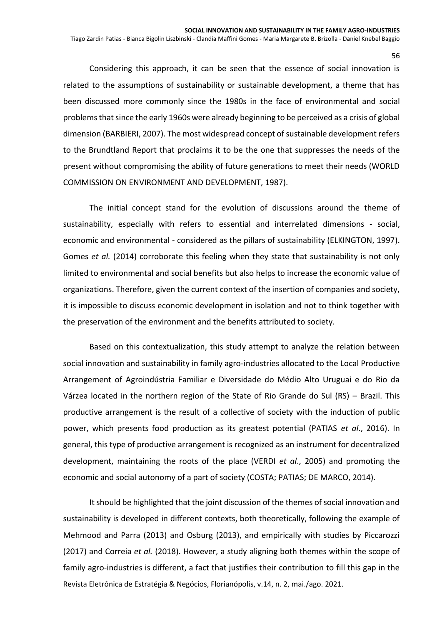Considering this approach, it can be seen that the essence of social innovation is related to the assumptions of sustainability or sustainable development, a theme that has been discussed more commonly since the 1980s in the face of environmental and social problems that since the early 1960s were already beginning to be perceived as a crisis of global dimension (BARBIERI, 2007). The most widespread concept of sustainable development refers to the Brundtland Report that proclaims it to be the one that suppresses the needs of the present without compromising the ability of future generations to meet their needs (WORLD COMMISSION ON ENVIRONMENT AND DEVELOPMENT, 1987).

The initial concept stand for the evolution of discussions around the theme of sustainability, especially with refers to essential and interrelated dimensions - social, economic and environmental - considered as the pillars of sustainability (ELKINGTON, 1997). Gomes *et al.* (2014) corroborate this feeling when they state that sustainability is not only limited to environmental and social benefits but also helps to increase the economic value of organizations. Therefore, given the current context of the insertion of companies and society, it is impossible to discuss economic development in isolation and not to think together with the preservation of the environment and the benefits attributed to society.

Based on this contextualization, this study attempt to analyze the relation between social innovation and sustainability in family agro-industries allocated to the Local Productive Arrangement of Agroindústria Familiar e Diversidade do Médio Alto Uruguai e do Rio da Várzea located in the northern region of the State of Rio Grande do Sul (RS) – Brazil. This productive arrangement is the result of a collective of society with the induction of public power, which presents food production as its greatest potential (PATIAS *et al*., 2016). In general, this type of productive arrangement is recognized as an instrument for decentralized development, maintaining the roots of the place (VERDI *et al*., 2005) and promoting the economic and social autonomy of a part of society (COSTA; PATIAS; DE MARCO, 2014).

Revista Eletrônica de Estratégia & Negócios, Florianópolis, v.14, n. 2, mai./ago. 2021. It should be highlighted that the joint discussion of the themes of social innovation and sustainability is developed in different contexts, both theoretically, following the example of Mehmood and Parra (2013) and Osburg (2013), and empirically with studies by Piccarozzi (2017) and Correia *et al.* (2018). However, a study aligning both themes within the scope of family agro-industries is different, a fact that justifies their contribution to fill this gap in the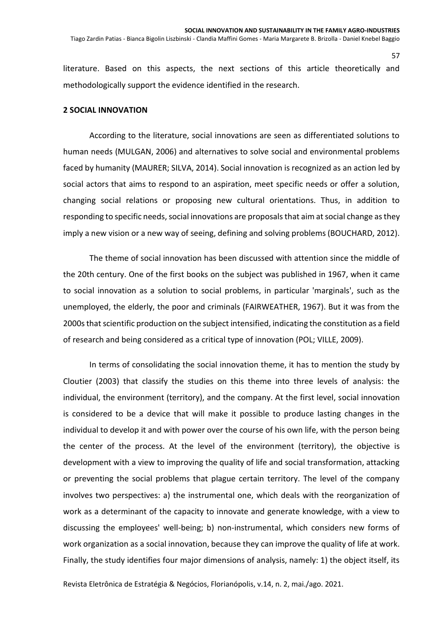literature. Based on this aspects, the next sections of this article theoretically and methodologically support the evidence identified in the research.

### **2 SOCIAL INNOVATION**

According to the literature, social innovations are seen as differentiated solutions to human needs (MULGAN, 2006) and alternatives to solve social and environmental problems faced by humanity (MAURER; SILVA, 2014). Social innovation is recognized as an action led by social actors that aims to respond to an aspiration, meet specific needs or offer a solution, changing social relations or proposing new cultural orientations. Thus, in addition to responding to specific needs, social innovations are proposals that aim at social change as they imply a new vision or a new way of seeing, defining and solving problems (BOUCHARD, 2012).

The theme of social innovation has been discussed with attention since the middle of the 20th century. One of the first books on the subject was published in 1967, when it came to social innovation as a solution to social problems, in particular 'marginals', such as the unemployed, the elderly, the poor and criminals (FAIRWEATHER, 1967). But it was from the 2000s that scientific production on the subject intensified, indicating the constitution as a field of research and being considered as a critical type of innovation (POL; VILLE, 2009).

In terms of consolidating the social innovation theme, it has to mention the study by Cloutier (2003) that classify the studies on this theme into three levels of analysis: the individual, the environment (territory), and the company. At the first level, social innovation is considered to be a device that will make it possible to produce lasting changes in the individual to develop it and with power over the course of his own life, with the person being the center of the process. At the level of the environment (territory), the objective is development with a view to improving the quality of life and social transformation, attacking or preventing the social problems that plague certain territory. The level of the company involves two perspectives: a) the instrumental one, which deals with the reorganization of work as a determinant of the capacity to innovate and generate knowledge, with a view to discussing the employees' well-being; b) non-instrumental, which considers new forms of work organization as a social innovation, because they can improve the quality of life at work. Finally, the study identifies four major dimensions of analysis, namely: 1) the object itself, its

Revista Eletrônica de Estratégia & Negócios, Florianópolis, v.14, n. 2, mai./ago. 2021.

57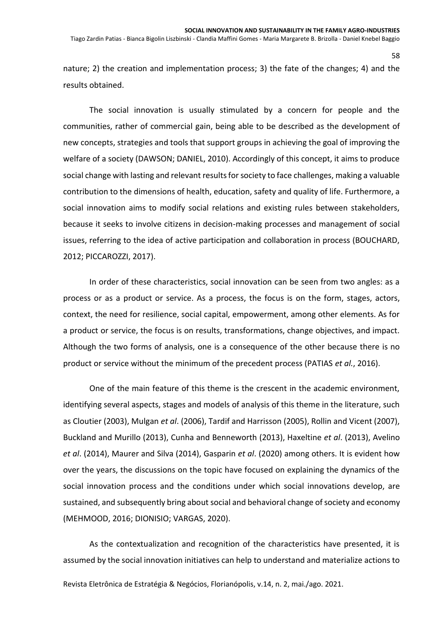#### Tiago Zardin Patias - Bianca Bigolin Liszbinski - Clandia Maffini Gomes - Maria Margarete B. Brizolla - Daniel Knebel Baggio

nature; 2) the creation and implementation process; 3) the fate of the changes; 4) and the results obtained.

The social innovation is usually stimulated by a concern for people and the communities, rather of commercial gain, being able to be described as the development of new concepts, strategies and tools that support groups in achieving the goal of improving the welfare of a society (DAWSON; DANIEL, 2010). Accordingly of this concept, it aims to produce social change with lasting and relevant results for society to face challenges, making a valuable contribution to the dimensions of health, education, safety and quality of life. Furthermore, a social innovation aims to modify social relations and existing rules between stakeholders, because it seeks to involve citizens in decision-making processes and management of social issues, referring to the idea of active participation and collaboration in process (BOUCHARD, 2012; PICCAROZZI, 2017).

In order of these characteristics, social innovation can be seen from two angles: as a process or as a product or service. As a process, the focus is on the form, stages, actors, context, the need for resilience, social capital, empowerment, among other elements. As for a product or service, the focus is on results, transformations, change objectives, and impact. Although the two forms of analysis, one is a consequence of the other because there is no product or service without the minimum of the precedent process (PATIAS *et al.*, 2016).

One of the main feature of this theme is the crescent in the academic environment, identifying several aspects, stages and models of analysis of this theme in the literature, such as Cloutier (2003), Mulgan *et al*. (2006), Tardif and Harrisson (2005), Rollin and Vicent (2007), Buckland and Murillo (2013), Cunha and Benneworth (2013), Haxeltine *et al*. (2013), Avelino *et al*. (2014), Maurer and Silva (2014), Gasparin *et al*. (2020) among others. It is evident how over the years, the discussions on the topic have focused on explaining the dynamics of the social innovation process and the conditions under which social innovations develop, are sustained, and subsequently bring about social and behavioral change of society and economy (MEHMOOD, 2016; DIONISIO; VARGAS, 2020).

As the contextualization and recognition of the characteristics have presented, it is assumed by the social innovation initiatives can help to understand and materialize actions to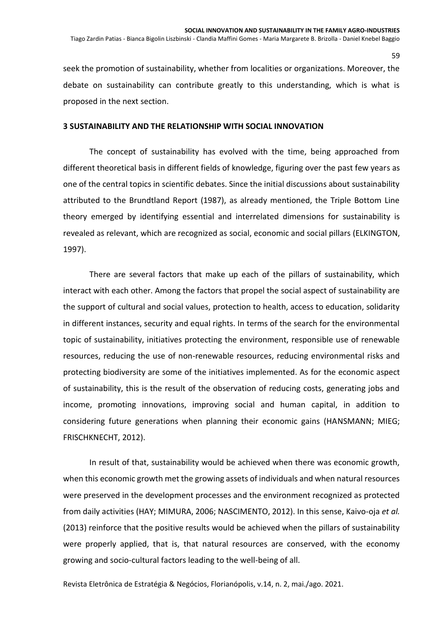seek the promotion of sustainability, whether from localities or organizations. Moreover, the debate on sustainability can contribute greatly to this understanding, which is what is proposed in the next section.

## **3 SUSTAINABILITY AND THE RELATIONSHIP WITH SOCIAL INNOVATION**

The concept of sustainability has evolved with the time, being approached from different theoretical basis in different fields of knowledge, figuring over the past few years as one of the central topics in scientific debates. Since the initial discussions about sustainability attributed to the Brundtland Report (1987), as already mentioned, the Triple Bottom Line theory emerged by identifying essential and interrelated dimensions for sustainability is revealed as relevant, which are recognized as social, economic and social pillars (ELKINGTON, 1997).

There are several factors that make up each of the pillars of sustainability, which interact with each other. Among the factors that propel the social aspect of sustainability are the support of cultural and social values, protection to health, access to education, solidarity in different instances, security and equal rights. In terms of the search for the environmental topic of sustainability, initiatives protecting the environment, responsible use of renewable resources, reducing the use of non-renewable resources, reducing environmental risks and protecting biodiversity are some of the initiatives implemented. As for the economic aspect of sustainability, this is the result of the observation of reducing costs, generating jobs and income, promoting innovations, improving social and human capital, in addition to considering future generations when planning their economic gains (HANSMANN; MIEG; FRISCHKNECHT, 2012).

In result of that, sustainability would be achieved when there was economic growth, when this economic growth met the growing assets of individuals and when natural resources were preserved in the development processes and the environment recognized as protected from daily activities (HAY; MIMURA, 2006; NASCIMENTO, 2012). In this sense, Kaivo-oja *et al.* (2013) reinforce that the positive results would be achieved when the pillars of sustainability were properly applied, that is, that natural resources are conserved, with the economy growing and socio-cultural factors leading to the well-being of all.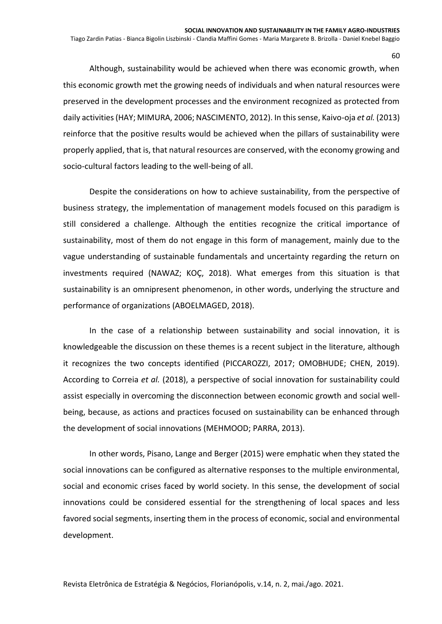Although, sustainability would be achieved when there was economic growth, when this economic growth met the growing needs of individuals and when natural resources were preserved in the development processes and the environment recognized as protected from daily activities (HAY; MIMURA, 2006; NASCIMENTO, 2012). In this sense, Kaivo-oja *et al.* (2013) reinforce that the positive results would be achieved when the pillars of sustainability were properly applied, that is, that natural resources are conserved, with the economy growing and socio-cultural factors leading to the well-being of all.

Despite the considerations on how to achieve sustainability, from the perspective of business strategy, the implementation of management models focused on this paradigm is still considered a challenge. Although the entities recognize the critical importance of sustainability, most of them do not engage in this form of management, mainly due to the vague understanding of sustainable fundamentals and uncertainty regarding the return on investments required (NAWAZ; KOÇ, 2018). What emerges from this situation is that sustainability is an omnipresent phenomenon, in other words, underlying the structure and performance of organizations (ABOELMAGED, 2018).

In the case of a relationship between sustainability and social innovation, it is knowledgeable the discussion on these themes is a recent subject in the literature, although it recognizes the two concepts identified (PICCAROZZI, 2017; OMOBHUDE; CHEN, 2019). According to Correia *et al.* (2018), a perspective of social innovation for sustainability could assist especially in overcoming the disconnection between economic growth and social wellbeing, because, as actions and practices focused on sustainability can be enhanced through the development of social innovations (MEHMOOD; PARRA, 2013).

In other words, Pisano, Lange and Berger (2015) were emphatic when they stated the social innovations can be configured as alternative responses to the multiple environmental, social and economic crises faced by world society. In this sense, the development of social innovations could be considered essential for the strengthening of local spaces and less favored social segments, inserting them in the process of economic, social and environmental development.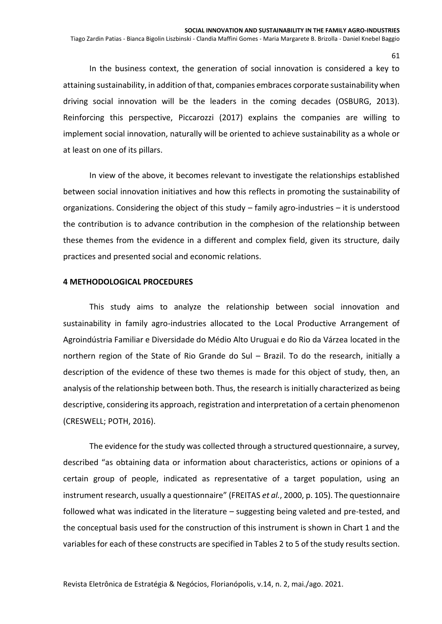In the business context, the generation of social innovation is considered a key to attaining sustainability, in addition of that, companies embraces corporate sustainability when driving social innovation will be the leaders in the coming decades (OSBURG, 2013). Reinforcing this perspective, Piccarozzi (2017) explains the companies are willing to implement social innovation, naturally will be oriented to achieve sustainability as a whole or at least on one of its pillars.

In view of the above, it becomes relevant to investigate the relationships established between social innovation initiatives and how this reflects in promoting the sustainability of organizations. Considering the object of this study – family agro-industries – it is understood the contribution is to advance contribution in the comphesion of the relationship between these themes from the evidence in a different and complex field, given its structure, daily practices and presented social and economic relations.

### **4 METHODOLOGICAL PROCEDURES**

This study aims to analyze the relationship between social innovation and sustainability in family agro-industries allocated to the Local Productive Arrangement of Agroindústria Familiar e Diversidade do Médio Alto Uruguai e do Rio da Várzea located in the northern region of the State of Rio Grande do Sul – Brazil. To do the research, initially a description of the evidence of these two themes is made for this object of study, then, an analysis of the relationship between both. Thus, the research is initially characterized as being descriptive, considering its approach, registration and interpretation of a certain phenomenon (CRESWELL; POTH, 2016).

The evidence for the study was collected through a structured questionnaire, a survey, described "as obtaining data or information about characteristics, actions or opinions of a certain group of people, indicated as representative of a target population, using an instrument research, usually a questionnaire" (FREITAS *et al.*, 2000, p. 105). The questionnaire followed what was indicated in the literature – suggesting being valeted and pre-tested, and the conceptual basis used for the construction of this instrument is shown in Chart 1 and the variables for each of these constructs are specified in Tables 2 to 5 of the study results section.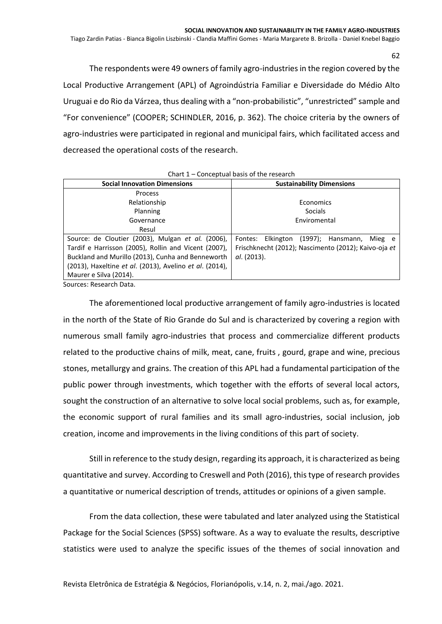Tiago Zardin Patias - Bianca Bigolin Liszbinski - Clandia Maffini Gomes - Maria Margarete B. Brizolla - Daniel Knebel Baggio

The respondents were 49 owners of family agro-industries in the region covered by the Local Productive Arrangement (APL) of Agroindústria Familiar e Diversidade do Médio Alto Uruguai e do Rio da Várzea, thus dealing with a "non-probabilistic", "unrestricted" sample and "For convenience" (COOPER; SCHINDLER, 2016, p. 362). The choice criteria by the owners of agro-industries were participated in regional and municipal fairs, which facilitated access and decreased the operational costs of the research.

| Chart I – Conceptual basis of the research              |                                                      |  |  |  |  |  |  |  |
|---------------------------------------------------------|------------------------------------------------------|--|--|--|--|--|--|--|
| <b>Social Innovation Dimensions</b>                     | <b>Sustainability Dimensions</b>                     |  |  |  |  |  |  |  |
| <b>Process</b>                                          |                                                      |  |  |  |  |  |  |  |
| Relationship                                            | Economics                                            |  |  |  |  |  |  |  |
| Planning                                                | <b>Socials</b>                                       |  |  |  |  |  |  |  |
| Governance                                              | Enviromental                                         |  |  |  |  |  |  |  |
| Resul                                                   |                                                      |  |  |  |  |  |  |  |
| Source: de Cloutier (2003), Mulgan et al. (2006),       | Elkington<br>(1997); Hansmann,<br>Fontes:<br>Mieg e  |  |  |  |  |  |  |  |
| Tardif e Harrisson (2005), Rollin and Vicent (2007),    | Frischknecht (2012); Nascimento (2012); Kaivo-oja et |  |  |  |  |  |  |  |
| Buckland and Murillo (2013), Cunha and Benneworth       | al. (2013).                                          |  |  |  |  |  |  |  |
| (2013), Haxeltine et al. (2013), Avelino et al. (2014), |                                                      |  |  |  |  |  |  |  |
| Maurer e Silva (2014).                                  |                                                      |  |  |  |  |  |  |  |

Chart 1 – Conceptual basis of the research

Sources: Research Data.

The aforementioned local productive arrangement of family agro-industries is located in the north of the State of Rio Grande do Sul and is characterized by covering a region with numerous small family agro-industries that process and commercialize different products related to the productive chains of milk, meat, cane, fruits , gourd, grape and wine, precious stones, metallurgy and grains. The creation of this APL had a fundamental participation of the public power through investments, which together with the efforts of several local actors, sought the construction of an alternative to solve local social problems, such as, for example, the economic support of rural families and its small agro-industries, social inclusion, job creation, income and improvements in the living conditions of this part of society.

Still in reference to the study design, regarding its approach, it is characterized as being quantitative and survey. According to Creswell and Poth (2016), this type of research provides a quantitative or numerical description of trends, attitudes or opinions of a given sample.

From the data collection, these were tabulated and later analyzed using the Statistical Package for the Social Sciences (SPSS) software. As a way to evaluate the results, descriptive statistics were used to analyze the specific issues of the themes of social innovation and

62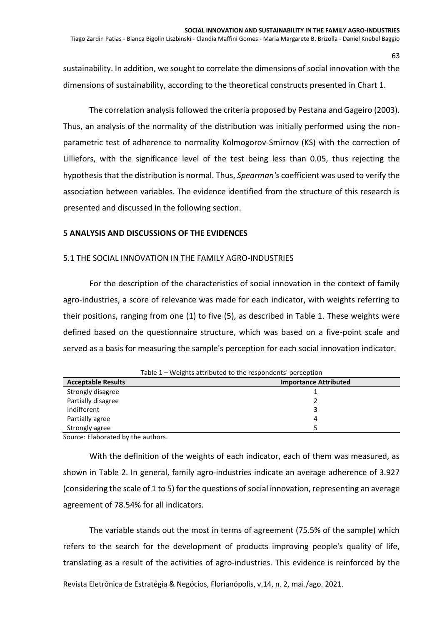sustainability. In addition, we sought to correlate the dimensions of social innovation with the dimensions of sustainability, according to the theoretical constructs presented in Chart 1.

The correlation analysis followed the criteria proposed by Pestana and Gageiro (2003). Thus, an analysis of the normality of the distribution was initially performed using the nonparametric test of adherence to normality Kolmogorov-Smirnov (KS) with the correction of Lilliefors, with the significance level of the test being less than 0.05, thus rejecting the hypothesis that the distribution is normal. Thus, *Spearman's* coefficient was used to verify the association between variables. The evidence identified from the structure of this research is presented and discussed in the following section.

## **5 ANALYSIS AND DISCUSSIONS OF THE EVIDENCES**

## 5.1 THE SOCIAL INNOVATION IN THE FAMILY AGRO-INDUSTRIES

For the description of the characteristics of social innovation in the context of family agro-industries, a score of relevance was made for each indicator, with weights referring to their positions, ranging from one (1) to five (5), as described in Table 1. These weights were defined based on the questionnaire structure, which was based on a five-point scale and served as a basis for measuring the sample's perception for each social innovation indicator.

| Table 1 – Weights attributed to the respondents' perception |   |  |  |  |  |  |  |
|-------------------------------------------------------------|---|--|--|--|--|--|--|
| <b>Acceptable Results</b><br><b>Importance Attributed</b>   |   |  |  |  |  |  |  |
| Strongly disagree                                           |   |  |  |  |  |  |  |
| Partially disagree                                          |   |  |  |  |  |  |  |
| Indifferent                                                 | 3 |  |  |  |  |  |  |
| Partially agree                                             | 4 |  |  |  |  |  |  |
| Strongly agree                                              |   |  |  |  |  |  |  |

Source: Elaborated by the authors.

With the definition of the weights of each indicator, each of them was measured, as shown in Table 2. In general, family agro-industries indicate an average adherence of 3.927 (considering the scale of 1 to 5) for the questions of social innovation, representing an average agreement of 78.54% for all indicators.

The variable stands out the most in terms of agreement (75.5% of the sample) which refers to the search for the development of products improving people's quality of life, translating as a result of the activities of agro-industries. This evidence is reinforced by the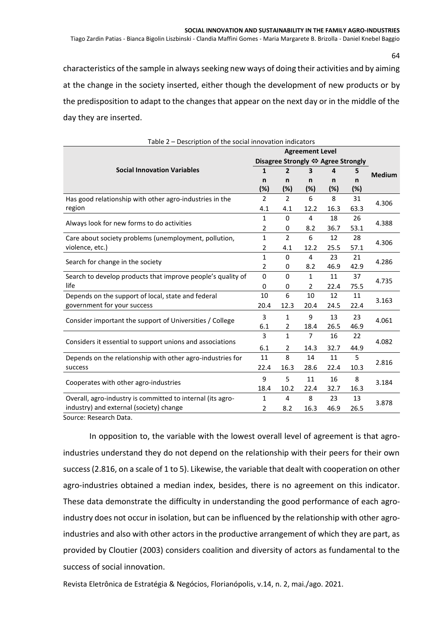Tiago Zardin Patias - Bianca Bigolin Liszbinski - Clandia Maffini Gomes - Maria Margarete B. Brizolla - Daniel Knebel Baggio

characteristics of the sample in always seeking new ways of doing their activities and by aiming at the change in the society inserted, either though the development of new products or by the predisposition to adapt to the changes that appear on the next day or in the middle of the day they are inserted.

|                                                             |                | Disagree Strongly ⇔ Agree Strongly |                |      |        |               |  |  |  |
|-------------------------------------------------------------|----------------|------------------------------------|----------------|------|--------|---------------|--|--|--|
| <b>Social Innovation Variables</b>                          | 1              | 2                                  | 3              | 4    | 5      | <b>Medium</b> |  |  |  |
|                                                             | n              | n                                  | n              | n    | n      |               |  |  |  |
|                                                             | (%)            | (%)                                | (%)            | (%)  | $(\%)$ |               |  |  |  |
| Has good relationship with other agro-industries in the     | $\overline{2}$ | $\overline{2}$                     | 6              | 8    | 31     | 4.306         |  |  |  |
| region                                                      | 4.1            | 4.1                                | 12.2           | 16.3 | 63.3   |               |  |  |  |
|                                                             |                | 0                                  | 4              | 18   | 26     | 4.388         |  |  |  |
| Always look for new forms to do activities                  | 2              | 0                                  | 8.2            | 36.7 | 53.1   |               |  |  |  |
| Care about society problems (unemployment, pollution,       | $\mathbf{1}$   | $\overline{2}$                     | 6              | 12   | 28     | 4.306         |  |  |  |
| violence, etc.)                                             | 2              | 4.1                                | 12.2           | 25.5 | 57.1   |               |  |  |  |
|                                                             |                | $\Omega$                           | 4              | 23   | 21     | 4.286         |  |  |  |
| Search for change in the society                            | $\overline{2}$ | 0                                  | 8.2            | 46.9 | 42.9   |               |  |  |  |
| Search to develop products that improve people's quality of | $\mathbf 0$    | $\Omega$                           | 1              | 11   | 37     | 4.735         |  |  |  |
| life                                                        | 0              | 0                                  | $\overline{2}$ | 22.4 | 75.5   |               |  |  |  |
| Depends on the support of local, state and federal          | 10             | 6                                  | 10             | 12   | 11     | 3.163         |  |  |  |
| government for your success                                 | 20.4           | 12.3                               | 20.4           | 24.5 | 22.4   |               |  |  |  |
| Consider important the support of Universities / College    | 3              | 1                                  | 9              | 13   | 23     | 4.061         |  |  |  |
|                                                             | 6.1            | 2                                  | 18.4           | 26.5 | 46.9   |               |  |  |  |
| Considers it essential to support unions and associations   | 3              | $\mathbf{1}$                       | $\overline{7}$ | 16   | 22     | 4.082         |  |  |  |
|                                                             | 6.1            | 2                                  | 14.3           | 32.7 | 44.9   |               |  |  |  |
| Depends on the relationship with other agro-industries for  | 11             | 8                                  | 14             | 11   | 5      |               |  |  |  |
| success                                                     | 22.4           | 16.3                               | 28.6           | 22.4 | 10.3   | 2.816         |  |  |  |
|                                                             |                | 5                                  | 11             | 16   | 8      |               |  |  |  |
| Cooperates with other agro-industries                       | 18.4           | 10.2                               | 22.4           | 32.7 | 16.3   | 3.184         |  |  |  |
| Overall, agro-industry is committed to internal (its agro-  | 1              | 4                                  | 8              | 23   | 13     |               |  |  |  |
| industry) and external (society) change                     | 2              | 8.2                                | 16.3           | 46.9 | 26.5   | 3.878         |  |  |  |
| المقدام والمسموم والمتحدثات                                 |                |                                    |                |      |        |               |  |  |  |

Table 2 – Description of the social innovation indicators

Source: Research Data.

In opposition to, the variable with the lowest overall level of agreement is that agroindustries understand they do not depend on the relationship with their peers for their own success (2.816, on a scale of 1 to 5). Likewise, the variable that dealt with cooperation on other agro-industries obtained a median index, besides, there is no agreement on this indicator. These data demonstrate the difficulty in understanding the good performance of each agroindustry does not occur in isolation, but can be influenced by the relationship with other agroindustries and also with other actors in the productive arrangement of which they are part, as provided by Cloutier (2003) considers coalition and diversity of actors as fundamental to the success of social innovation.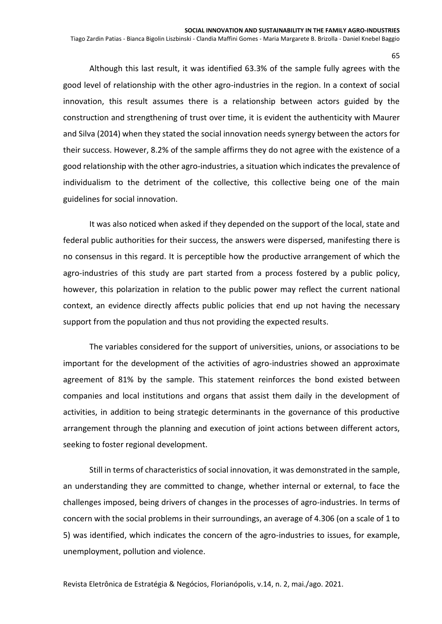Tiago Zardin Patias - Bianca Bigolin Liszbinski - Clandia Maffini Gomes - Maria Margarete B. Brizolla - Daniel Knebel Baggio

Although this last result, it was identified 63.3% of the sample fully agrees with the good level of relationship with the other agro-industries in the region. In a context of social innovation, this result assumes there is a relationship between actors guided by the construction and strengthening of trust over time, it is evident the authenticity with Maurer and Silva (2014) when they stated the social innovation needs synergy between the actors for their success. However, 8.2% of the sample affirms they do not agree with the existence of a good relationship with the other agro-industries, a situation which indicates the prevalence of individualism to the detriment of the collective, this collective being one of the main guidelines for social innovation.

It was also noticed when asked if they depended on the support of the local, state and federal public authorities for their success, the answers were dispersed, manifesting there is no consensus in this regard. It is perceptible how the productive arrangement of which the agro-industries of this study are part started from a process fostered by a public policy, however, this polarization in relation to the public power may reflect the current national context, an evidence directly affects public policies that end up not having the necessary support from the population and thus not providing the expected results.

The variables considered for the support of universities, unions, or associations to be important for the development of the activities of agro-industries showed an approximate agreement of 81% by the sample. This statement reinforces the bond existed between companies and local institutions and organs that assist them daily in the development of activities, in addition to being strategic determinants in the governance of this productive arrangement through the planning and execution of joint actions between different actors, seeking to foster regional development.

Still in terms of characteristics of social innovation, it was demonstrated in the sample, an understanding they are committed to change, whether internal or external, to face the challenges imposed, being drivers of changes in the processes of agro-industries. In terms of concern with the social problems in their surroundings, an average of 4.306 (on a scale of 1 to 5) was identified, which indicates the concern of the agro-industries to issues, for example, unemployment, pollution and violence.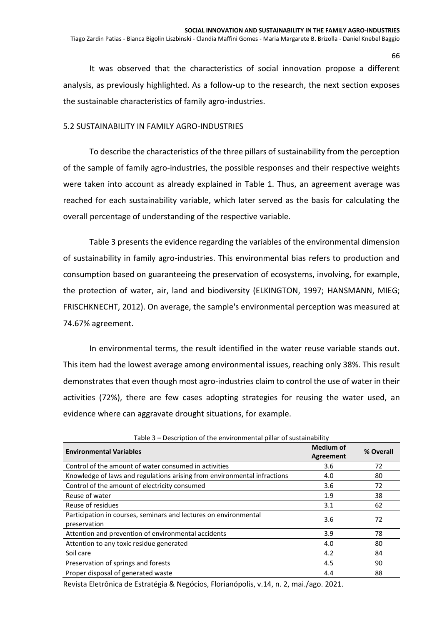It was observed that the characteristics of social innovation propose a different analysis, as previously highlighted. As a follow-up to the research, the next section exposes the sustainable characteristics of family agro-industries.

## 5.2 SUSTAINABILITY IN FAMILY AGRO-INDUSTRIES

To describe the characteristics of the three pillars of sustainability from the perception of the sample of family agro-industries, the possible responses and their respective weights were taken into account as already explained in Table 1. Thus, an agreement average was reached for each sustainability variable, which later served as the basis for calculating the overall percentage of understanding of the respective variable.

Table 3 presents the evidence regarding the variables of the environmental dimension of sustainability in family agro-industries. This environmental bias refers to production and consumption based on guaranteeing the preservation of ecosystems, involving, for example, the protection of water, air, land and biodiversity (ELKINGTON, 1997; HANSMANN, MIEG; FRISCHKNECHT, 2012). On average, the sample's environmental perception was measured at 74.67% agreement.

In environmental terms, the result identified in the water reuse variable stands out. This item had the lowest average among environmental issues, reaching only 38%. This result demonstrates that even though most agro-industries claim to control the use of water in their activities (72%), there are few cases adopting strategies for reusing the water used, an evidence where can aggravate drought situations, for example.

| <b>Environmental Variables</b>                                                   | <b>Medium of</b><br>Agreement | % Overall |
|----------------------------------------------------------------------------------|-------------------------------|-----------|
| Control of the amount of water consumed in activities                            | 3.6                           | 72        |
| Knowledge of laws and regulations arising from environmental infractions         | 4.0                           | 80        |
| Control of the amount of electricity consumed                                    | 3.6                           | 72        |
| Reuse of water                                                                   | 1.9                           | 38        |
| Reuse of residues                                                                | 3.1                           | 62        |
| Participation in courses, seminars and lectures on environmental<br>preservation | 3.6                           | 72        |
| Attention and prevention of environmental accidents                              | 3.9                           | 78        |
| Attention to any toxic residue generated                                         | 4.0                           | 80        |
| Soil care                                                                        | 4.2                           | 84        |
| Preservation of springs and forests                                              | 4.5                           | 90        |
| Proper disposal of generated waste                                               | 4.4                           | 88        |

Table 3 – Description of the environmental pillar of sustainability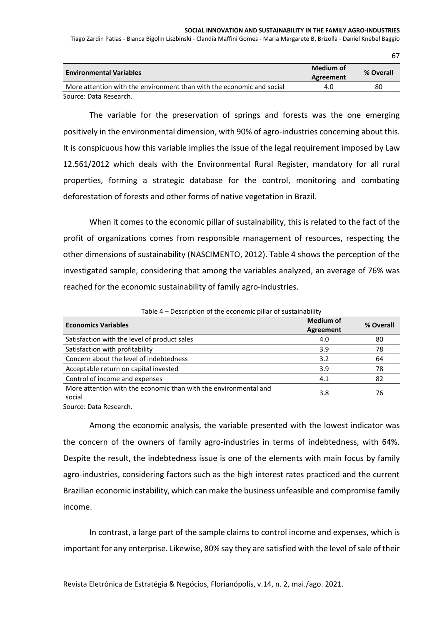#### **SOCIAL INNOVATION AND SUSTAINABILITY IN THE FAMILY AGRO-INDUSTRIES**

67

Tiago Zardin Patias - Bianca Bigolin Liszbinski - Clandia Maffini Gomes - Maria Margarete B. Brizolla - Daniel Knebel Baggio

| <b>Environmental Variables</b>                                        | Medium of<br>Agreement | % Overall |
|-----------------------------------------------------------------------|------------------------|-----------|
| More attention with the environment than with the economic and social | 4.0                    | 80        |
| Source: Data Research.                                                |                        |           |

The variable for the preservation of springs and forests was the one emerging positively in the environmental dimension, with 90% of agro-industries concerning about this. It is conspicuous how this variable implies the issue of the legal requirement imposed by Law 12.561/2012 which deals with the Environmental Rural Register, mandatory for all rural properties, forming a strategic database for the control, monitoring and combating deforestation of forests and other forms of native vegetation in Brazil.

When it comes to the economic pillar of sustainability, this is related to the fact of the profit of organizations comes from responsible management of resources, respecting the other dimensions of sustainability (NASCIMENTO, 2012). Table 4 shows the perception of the investigated sample, considering that among the variables analyzed, an average of 76% was reached for the economic sustainability of family agro-industries.

| <b>Economics Variables</b>                                       | <b>Medium of</b> | % Overall |
|------------------------------------------------------------------|------------------|-----------|
|                                                                  | Agreement        |           |
| Satisfaction with the level of product sales                     | 4.0              | 80        |
| Satisfaction with profitability                                  | 3.9              | 78        |
| Concern about the level of indebtedness                          | 3.2              | 64        |
| Acceptable return on capital invested                            | 3.9              | 78        |
| Control of income and expenses                                   | 4.1              | 82        |
| More attention with the economic than with the environmental and | 3.8              | 76        |
| social                                                           |                  |           |

Table 4 – Description of the economic pillar of sustainability

Source: Data Research.

Among the economic analysis, the variable presented with the lowest indicator was the concern of the owners of family agro-industries in terms of indebtedness, with 64%. Despite the result, the indebtedness issue is one of the elements with main focus by family agro-industries, considering factors such as the high interest rates practiced and the current Brazilian economic instability, which can make the business unfeasible and compromise family income.

In contrast, a large part of the sample claims to control income and expenses, which is important for any enterprise. Likewise, 80% say they are satisfied with the level of sale of their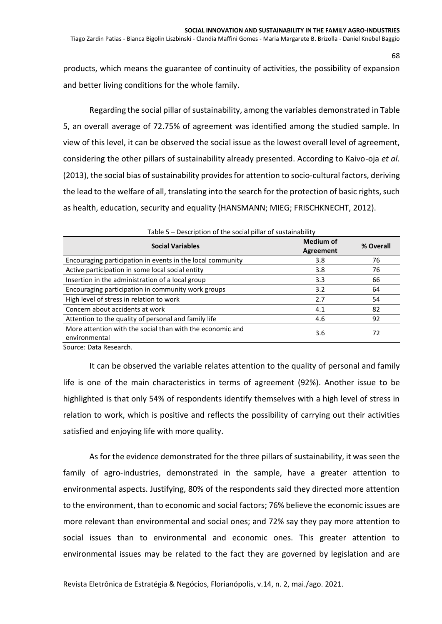products, which means the guarantee of continuity of activities, the possibility of expansion and better living conditions for the whole family.

Regarding the social pillar of sustainability, among the variables demonstrated in Table 5, an overall average of 72.75% of agreement was identified among the studied sample. In view of this level, it can be observed the social issue as the lowest overall level of agreement, considering the other pillars of sustainability already presented. According to Kaivo-oja *et al.* (2013), the social bias of sustainability provides for attention to socio-cultural factors, deriving the lead to the welfare of all, translating into the search for the protection of basic rights, such as health, education, security and equality (HANSMANN; MIEG; FRISCHKNECHT, 2012).

| Table 5 – Description of the social pillar of sustainability               |                               |           |  |  |  |  |  |
|----------------------------------------------------------------------------|-------------------------------|-----------|--|--|--|--|--|
| <b>Social Variables</b>                                                    | <b>Medium of</b><br>Agreement | % Overall |  |  |  |  |  |
| Encouraging participation in events in the local community                 | 3.8                           | 76        |  |  |  |  |  |
| Active participation in some local social entity                           | 3.8                           | 76        |  |  |  |  |  |
| Insertion in the administration of a local group                           | 3.3                           | 66        |  |  |  |  |  |
| Encouraging participation in community work groups                         | 3.2                           | 64        |  |  |  |  |  |
| High level of stress in relation to work                                   | 2.7                           | 54        |  |  |  |  |  |
| Concern about accidents at work                                            | 4.1                           | 82        |  |  |  |  |  |
| Attention to the quality of personal and family life                       | 4.6                           | 92        |  |  |  |  |  |
| More attention with the social than with the economic and<br>environmental | 3.6                           | 72        |  |  |  |  |  |
| Carriera - Data Danaarak                                                   |                               |           |  |  |  |  |  |

Source: Data Research.

It can be observed the variable relates attention to the quality of personal and family life is one of the main characteristics in terms of agreement (92%). Another issue to be highlighted is that only 54% of respondents identify themselves with a high level of stress in relation to work, which is positive and reflects the possibility of carrying out their activities satisfied and enjoying life with more quality.

As for the evidence demonstrated for the three pillars of sustainability, it was seen the family of agro-industries, demonstrated in the sample, have a greater attention to environmental aspects. Justifying, 80% of the respondents said they directed more attention to the environment, than to economic and social factors; 76% believe the economic issues are more relevant than environmental and social ones; and 72% say they pay more attention to social issues than to environmental and economic ones. This greater attention to environmental issues may be related to the fact they are governed by legislation and are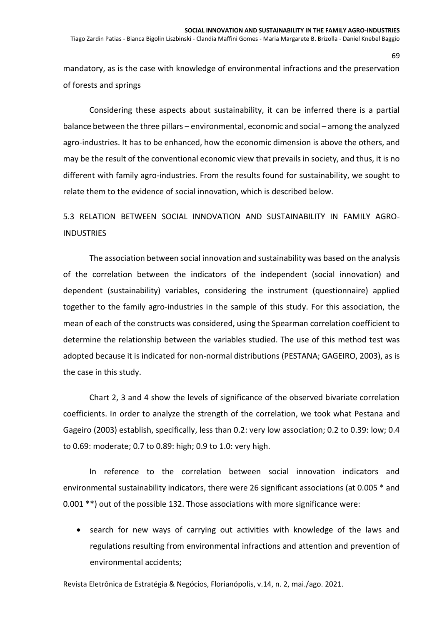Tiago Zardin Patias - Bianca Bigolin Liszbinski - Clandia Maffini Gomes - Maria Margarete B. Brizolla - Daniel Knebel Baggio

mandatory, as is the case with knowledge of environmental infractions and the preservation of forests and springs

Considering these aspects about sustainability, it can be inferred there is a partial balance between the three pillars – environmental, economic and social – among the analyzed agro-industries. It has to be enhanced, how the economic dimension is above the others, and may be the result of the conventional economic view that prevails in society, and thus, it is no different with family agro-industries. From the results found for sustainability, we sought to relate them to the evidence of social innovation, which is described below.

# 5.3 RELATION BETWEEN SOCIAL INNOVATION AND SUSTAINABILITY IN FAMILY AGRO-**INDUSTRIES**

The association between social innovation and sustainability was based on the analysis of the correlation between the indicators of the independent (social innovation) and dependent (sustainability) variables, considering the instrument (questionnaire) applied together to the family agro-industries in the sample of this study. For this association, the mean of each of the constructs was considered, using the Spearman correlation coefficient to determine the relationship between the variables studied. The use of this method test was adopted because it is indicated for non-normal distributions (PESTANA; GAGEIRO, 2003), as is the case in this study.

Chart 2, 3 and 4 show the levels of significance of the observed bivariate correlation coefficients. In order to analyze the strength of the correlation, we took what Pestana and Gageiro (2003) establish, specifically, less than 0.2: very low association; 0.2 to 0.39: low; 0.4 to 0.69: moderate; 0.7 to 0.89: high; 0.9 to 1.0: very high.

In reference to the correlation between social innovation indicators and environmental sustainability indicators, there were 26 significant associations (at 0.005 \* and 0.001 \*\*) out of the possible 132. Those associations with more significance were:

• search for new ways of carrying out activities with knowledge of the laws and regulations resulting from environmental infractions and attention and prevention of environmental accidents;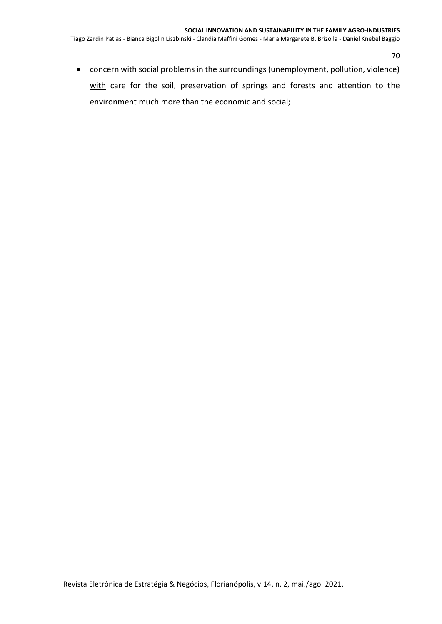Tiago Zardin Patias - Bianca Bigolin Liszbinski - Clandia Maffini Gomes - Maria Margarete B. Brizolla - Daniel Knebel Baggio

70

• concern with social problems in the surroundings (unemployment, pollution, violence) with care for the soil, preservation of springs and forests and attention to the environment much more than the economic and social;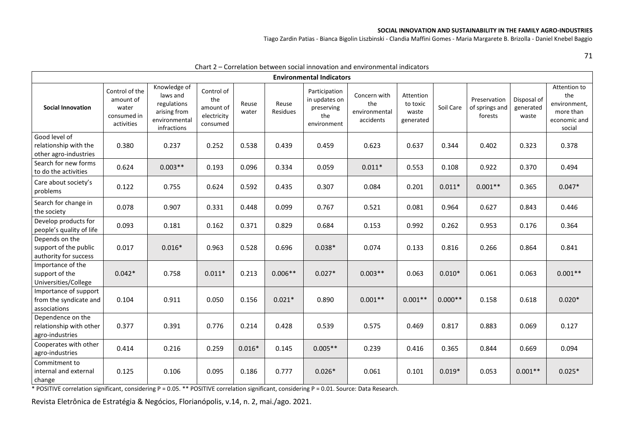#### **SOCIAL INNOVATION AND SUSTAINABILITY IN THE FAMILY AGRO-INDUSTRIES**

Tiago Zardin Patias - Bianca Bigolin Liszbinski - Clandia Maffini Gomes - Maria Margarete B. Brizolla - Daniel Knebel Baggio

71

|                                                                  |                                                                   |                                                                                         | ے ، اما اب                                                |                |                          |                                                                    | COLLCIGLIOII DELWECH SOCIAL INNOVATION AND CHVILOIINENTAL INDICATORS |                                             |           |                                           |                                   |                                                                            |
|------------------------------------------------------------------|-------------------------------------------------------------------|-----------------------------------------------------------------------------------------|-----------------------------------------------------------|----------------|--------------------------|--------------------------------------------------------------------|----------------------------------------------------------------------|---------------------------------------------|-----------|-------------------------------------------|-----------------------------------|----------------------------------------------------------------------------|
| <b>Environmental Indicators</b>                                  |                                                                   |                                                                                         |                                                           |                |                          |                                                                    |                                                                      |                                             |           |                                           |                                   |                                                                            |
| <b>Social Innovation</b>                                         | Control of the<br>amount of<br>water<br>consumed in<br>activities | Knowledge of<br>laws and<br>regulations<br>arising from<br>environmental<br>infractions | Control of<br>the<br>amount of<br>electricity<br>consumed | Reuse<br>water | Reuse<br><b>Residues</b> | Participation<br>in updates on<br>preserving<br>the<br>environment | Concern with<br>the<br>environmental<br>accidents                    | Attention<br>to toxic<br>waste<br>generated | Soil Care | Preservation<br>of springs and<br>forests | Disposal of<br>generated<br>waste | Attention to<br>the<br>environment,<br>more than<br>economic and<br>social |
| Good level of<br>relationship with the<br>other agro-industries  | 0.380                                                             | 0.237                                                                                   | 0.252                                                     | 0.538          | 0.439                    | 0.459                                                              | 0.623                                                                | 0.637                                       | 0.344     | 0.402                                     | 0.323                             | 0.378                                                                      |
| Search for new forms<br>to do the activities                     | 0.624                                                             | $0.003**$                                                                               | 0.193                                                     | 0.096          | 0.334                    | 0.059                                                              | $0.011*$                                                             | 0.553                                       | 0.108     | 0.922                                     | 0.370                             | 0.494                                                                      |
| Care about society's<br>problems                                 | 0.122                                                             | 0.755                                                                                   | 0.624                                                     | 0.592          | 0.435                    | 0.307                                                              | 0.084                                                                | 0.201                                       | $0.011*$  | $0.001**$                                 | 0.365                             | $0.047*$                                                                   |
| Search for change in<br>the society                              | 0.078                                                             | 0.907                                                                                   | 0.331                                                     | 0.448          | 0.099                    | 0.767                                                              | 0.521                                                                | 0.081                                       | 0.964     | 0.627                                     | 0.843                             | 0.446                                                                      |
| Develop products for<br>people's quality of life                 | 0.093                                                             | 0.181                                                                                   | 0.162                                                     | 0.371          | 0.829                    | 0.684                                                              | 0.153                                                                | 0.992                                       | 0.262     | 0.953                                     | 0.176                             | 0.364                                                                      |
| Depends on the<br>support of the public<br>authority for success | 0.017                                                             | $0.016*$                                                                                | 0.963                                                     | 0.528          | 0.696                    | $0.038*$                                                           | 0.074                                                                | 0.133                                       | 0.816     | 0.266                                     | 0.864                             | 0.841                                                                      |
| Importance of the<br>support of the<br>Universities/College      | $0.042*$                                                          | 0.758                                                                                   | $0.011*$                                                  | 0.213          | $0.006**$                | $0.027*$                                                           | $0.003**$                                                            | 0.063                                       | $0.010*$  | 0.061                                     | 0.063                             | $0.001**$                                                                  |
| Importance of support<br>from the syndicate and<br>associations  | 0.104                                                             | 0.911                                                                                   | 0.050                                                     | 0.156          | $0.021*$                 | 0.890                                                              | $0.001**$                                                            | $0.001**$                                   | $0.000**$ | 0.158                                     | 0.618                             | $0.020*$                                                                   |
| Dependence on the<br>relationship with other<br>agro-industries  | 0.377                                                             | 0.391                                                                                   | 0.776                                                     | 0.214          | 0.428                    | 0.539                                                              | 0.575                                                                | 0.469                                       | 0.817     | 0.883                                     | 0.069                             | 0.127                                                                      |
| Cooperates with other<br>agro-industries                         | 0.414                                                             | 0.216                                                                                   | 0.259                                                     | $0.016*$       | 0.145                    | $0.005**$                                                          | 0.239                                                                | 0.416                                       | 0.365     | 0.844                                     | 0.669                             | 0.094                                                                      |
| Commitment to<br>internal and external<br>change                 | 0.125                                                             | 0.106                                                                                   | 0.095                                                     | 0.186          | 0.777                    | $0.026*$                                                           | 0.061                                                                | 0.101                                       | $0.019*$  | 0.053                                     | $0.001**$                         | $0.025*$                                                                   |

#### Chart 2 – Correlation between social innovation and environmental indicators

\* POSITIVE correlation significant, considering P = 0.05. \*\* POSITIVE correlation significant, considering P = 0.01. Source: Data Research.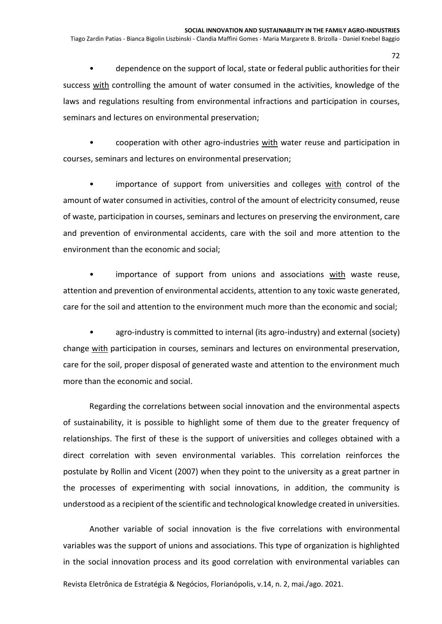• dependence on the support of local, state or federal public authorities for their success with controlling the amount of water consumed in the activities, knowledge of the laws and regulations resulting from environmental infractions and participation in courses, seminars and lectures on environmental preservation;

• cooperation with other agro-industries with water reuse and participation in courses, seminars and lectures on environmental preservation;

importance of support from universities and colleges with control of the amount of water consumed in activities, control of the amount of electricity consumed, reuse of waste, participation in courses, seminars and lectures on preserving the environment, care and prevention of environmental accidents, care with the soil and more attention to the environment than the economic and social;

• importance of support from unions and associations with waste reuse, attention and prevention of environmental accidents, attention to any toxic waste generated, care for the soil and attention to the environment much more than the economic and social;

agro-industry is committed to internal (its agro-industry) and external (society) change with participation in courses, seminars and lectures on environmental preservation, care for the soil, proper disposal of generated waste and attention to the environment much more than the economic and social.

Regarding the correlations between social innovation and the environmental aspects of sustainability, it is possible to highlight some of them due to the greater frequency of relationships. The first of these is the support of universities and colleges obtained with a direct correlation with seven environmental variables. This correlation reinforces the postulate by Rollin and Vicent (2007) when they point to the university as a great partner in the processes of experimenting with social innovations, in addition, the community is understood as a recipient of the scientific and technological knowledge created in universities.

Another variable of social innovation is the five correlations with environmental variables was the support of unions and associations. This type of organization is highlighted in the social innovation process and its good correlation with environmental variables can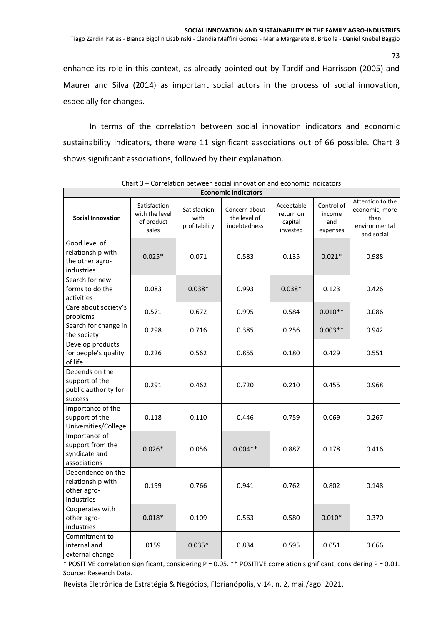Tiago Zardin Patias - Bianca Bigolin Liszbinski - Clandia Maffini Gomes - Maria Margarete B. Brizolla - Daniel Knebel Baggio

enhance its role in this context, as already pointed out by Tardif and Harrisson (2005) and Maurer and Silva (2014) as important social actors in the process of social innovation, especially for changes.

In terms of the correlation between social innovation indicators and economic sustainability indicators, there were 11 significant associations out of 66 possible. Chart 3 shows significant associations, followed by their explanation.

| <b>Economic Indicators</b>                                          |                                                       |                                       |                                               |                                                |                                         |                                                                           |  |  |  |
|---------------------------------------------------------------------|-------------------------------------------------------|---------------------------------------|-----------------------------------------------|------------------------------------------------|-----------------------------------------|---------------------------------------------------------------------------|--|--|--|
| <b>Social Innovation</b>                                            | Satisfaction<br>with the level<br>of product<br>sales | Satisfaction<br>with<br>profitability | Concern about<br>the level of<br>indebtedness | Acceptable<br>return on<br>capital<br>invested | Control of<br>income<br>and<br>expenses | Attention to the<br>economic, more<br>than<br>environmental<br>and social |  |  |  |
| Good level of<br>relationship with<br>the other agro-<br>industries | $0.025*$                                              | 0.071                                 | 0.583                                         | 0.135                                          | $0.021*$                                | 0.988                                                                     |  |  |  |
| Search for new<br>forms to do the<br>activities                     | 0.083                                                 | $0.038*$                              | 0.993                                         | $0.038*$                                       | 0.123                                   | 0.426                                                                     |  |  |  |
| Care about society's<br>problems                                    | 0.571                                                 | 0.672                                 | 0.995                                         | 0.584                                          | $0.010**$                               | 0.086                                                                     |  |  |  |
| Search for change in<br>the society                                 | 0.298                                                 | 0.716                                 | 0.385                                         | 0.256                                          | $0.003**$                               | 0.942                                                                     |  |  |  |
| Develop products<br>for people's quality<br>of life                 | 0.226                                                 | 0.562                                 | 0.855                                         | 0.180                                          | 0.429                                   | 0.551                                                                     |  |  |  |
| Depends on the<br>support of the<br>public authority for<br>success | 0.291                                                 | 0.462                                 | 0.720                                         | 0.210                                          | 0.455                                   | 0.968                                                                     |  |  |  |
| Importance of the<br>support of the<br>Universities/College         | 0.118                                                 | 0.110                                 | 0.446                                         | 0.759                                          | 0.069                                   | 0.267                                                                     |  |  |  |
| Importance of<br>support from the<br>syndicate and<br>associations  | $0.026*$                                              | 0.056                                 | $0.004**$                                     | 0.887                                          | 0.178                                   | 0.416                                                                     |  |  |  |
| Dependence on the<br>relationship with<br>other agro-<br>industries | 0.199                                                 | 0.766                                 | 0.941                                         | 0.762                                          | 0.802                                   | 0.148                                                                     |  |  |  |
| Cooperates with<br>other agro-<br>industries                        | $0.018*$                                              | 0.109                                 | 0.563                                         | 0.580                                          | $0.010*$                                | 0.370                                                                     |  |  |  |
| Commitment to<br>internal and<br>external change                    | 0159                                                  | $0.035*$                              | 0.834                                         | 0.595                                          | 0.051                                   | 0.666                                                                     |  |  |  |

Chart 3 – Correlation between social innovation and economic indicators

\* POSITIVE correlation significant, considering P = 0.05. \*\* POSITIVE correlation significant, considering P = 0.01. Source: Research Data.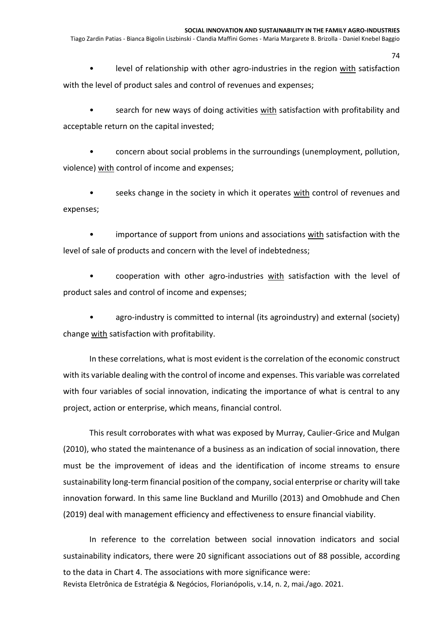level of relationship with other agro-industries in the region with satisfaction with the level of product sales and control of revenues and expenses;

• search for new ways of doing activities with satisfaction with profitability and acceptable return on the capital invested;

• concern about social problems in the surroundings (unemployment, pollution, violence) with control of income and expenses;

• seeks change in the society in which it operates with control of revenues and expenses;

• importance of support from unions and associations with satisfaction with the level of sale of products and concern with the level of indebtedness;

• cooperation with other agro-industries with satisfaction with the level of product sales and control of income and expenses;

agro-industry is committed to internal (its agroindustry) and external (society) change with satisfaction with profitability.

In these correlations, what is most evident is the correlation of the economic construct with its variable dealing with the control of income and expenses. This variable was correlated with four variables of social innovation, indicating the importance of what is central to any project, action or enterprise, which means, financial control.

This result corroborates with what was exposed by Murray, Caulier-Grice and Mulgan (2010), who stated the maintenance of a business as an indication of social innovation, there must be the improvement of ideas and the identification of income streams to ensure sustainability long-term financial position of the company, social enterprise or charity will take innovation forward. In this same line Buckland and Murillo (2013) and Omobhude and Chen (2019) deal with management efficiency and effectiveness to ensure financial viability.

Revista Eletrônica de Estratégia & Negócios, Florianópolis, v.14, n. 2, mai./ago. 2021. In reference to the correlation between social innovation indicators and social sustainability indicators, there were 20 significant associations out of 88 possible, according to the data in Chart 4. The associations with more significance were:

74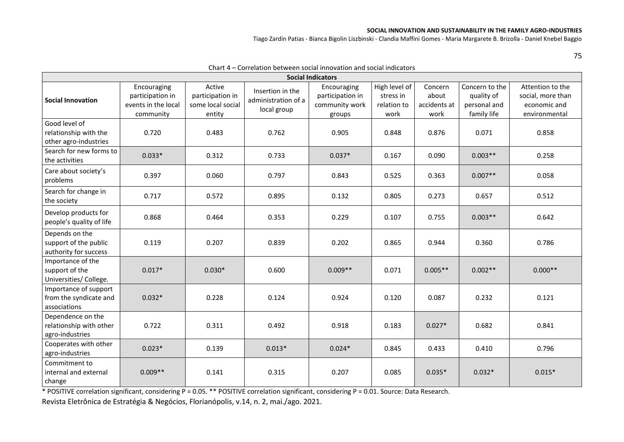#### **SOCIAL INNOVATION AND SUSTAINABILITY IN THE FAMILY AGRO-INDUSTRIES**

Tiago Zardin Patias - Bianca Bigolin Liszbinski - Clandia Maffini Gomes - Maria Margarete B. Brizolla - Daniel Knebel Baggio

75

| Charl 4 – Correlation between social importance and social indicators<br><b>Social Indicators</b> |                                                                     |                                                           |                                                        |                                                             |                                                   |                                          |                                                             |                                                                        |  |  |  |
|---------------------------------------------------------------------------------------------------|---------------------------------------------------------------------|-----------------------------------------------------------|--------------------------------------------------------|-------------------------------------------------------------|---------------------------------------------------|------------------------------------------|-------------------------------------------------------------|------------------------------------------------------------------------|--|--|--|
| <b>Social Innovation</b>                                                                          | Encouraging<br>participation in<br>events in the local<br>community | Active<br>participation in<br>some local social<br>entity | Insertion in the<br>administration of a<br>local group | Encouraging<br>participation in<br>community work<br>groups | High level of<br>stress in<br>relation to<br>work | Concern<br>about<br>accidents at<br>work | Concern to the<br>quality of<br>personal and<br>family life | Attention to the<br>social, more than<br>economic and<br>environmental |  |  |  |
| Good level of<br>relationship with the<br>other agro-industries                                   | 0.720                                                               | 0.483                                                     | 0.762                                                  | 0.905                                                       | 0.848                                             | 0.876                                    | 0.071                                                       | 0.858                                                                  |  |  |  |
| Search for new forms to<br>the activities                                                         | $0.033*$                                                            | 0.312                                                     | 0.733                                                  | $0.037*$                                                    | 0.167                                             | 0.090                                    | $0.003**$                                                   | 0.258                                                                  |  |  |  |
| Care about society's<br>problems                                                                  | 0.397                                                               | 0.060                                                     | 0.797                                                  | 0.843                                                       | 0.525                                             | 0.363                                    | $0.007**$                                                   | 0.058                                                                  |  |  |  |
| Search for change in<br>the society                                                               | 0.717                                                               | 0.572                                                     | 0.895                                                  | 0.132                                                       | 0.805                                             | 0.273                                    | 0.657                                                       | 0.512                                                                  |  |  |  |
| Develop products for<br>people's quality of life                                                  | 0.868                                                               | 0.464                                                     | 0.353                                                  | 0.229                                                       | 0.107                                             | 0.755                                    | $0.003**$                                                   | 0.642                                                                  |  |  |  |
| Depends on the<br>support of the public<br>authority for success                                  | 0.119                                                               | 0.207                                                     | 0.839                                                  | 0.202                                                       | 0.865                                             | 0.944                                    | 0.360                                                       | 0.786                                                                  |  |  |  |
| Importance of the<br>support of the<br>Universities/College.                                      | $0.017*$                                                            | $0.030*$                                                  | 0.600                                                  | $0.009**$                                                   | 0.071                                             | $0.005**$                                | $0.002**$                                                   | $0.000**$                                                              |  |  |  |
| Importance of support<br>from the syndicate and<br>associations                                   | $0.032*$                                                            | 0.228                                                     | 0.124                                                  | 0.924                                                       | 0.120                                             | 0.087                                    | 0.232                                                       | 0.121                                                                  |  |  |  |
| Dependence on the<br>relationship with other<br>agro-industries                                   | 0.722                                                               | 0.311                                                     | 0.492                                                  | 0.918                                                       | 0.183                                             | $0.027*$                                 | 0.682                                                       | 0.841                                                                  |  |  |  |
| Cooperates with other<br>agro-industries                                                          | $0.023*$                                                            | 0.139                                                     | $0.013*$                                               | $0.024*$                                                    | 0.845                                             | 0.433                                    | 0.410                                                       | 0.796                                                                  |  |  |  |
| Commitment to<br>internal and external<br>change                                                  | $0.009**$                                                           | 0.141                                                     | 0.315                                                  | 0.207                                                       | 0.085                                             | $0.035*$                                 | $0.032*$                                                    | $0.015*$                                                               |  |  |  |

Chart  $A -$  Correlation between social innovation and social indicators

\* POSITIVE correlation significant, considering P = 0.05. \*\* POSITIVE correlation significant, considering P = 0.01. Source: Data Research.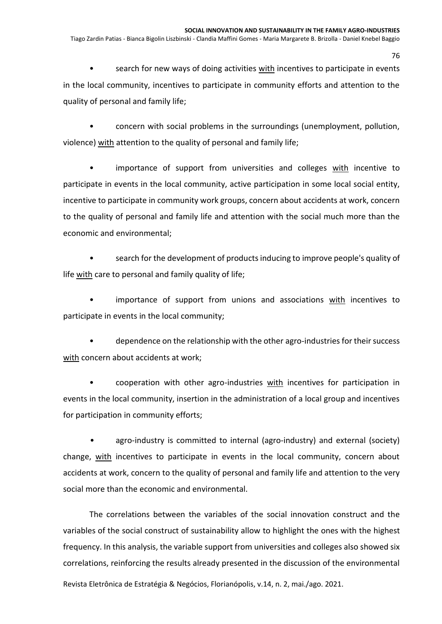search for new ways of doing activities with incentives to participate in events in the local community, incentives to participate in community efforts and attention to the quality of personal and family life;

• concern with social problems in the surroundings (unemployment, pollution, violence) with attention to the quality of personal and family life;

• importance of support from universities and colleges with incentive to participate in events in the local community, active participation in some local social entity, incentive to participate in community work groups, concern about accidents at work, concern to the quality of personal and family life and attention with the social much more than the economic and environmental;

• search for the development of products inducing to improve people's quality of life with care to personal and family quality of life;

• importance of support from unions and associations with incentives to participate in events in the local community;

• dependence on the relationship with the other agro-industries for their success with concern about accidents at work;

cooperation with other agro-industries with incentives for participation in events in the local community, insertion in the administration of a local group and incentives for participation in community efforts;

• agro-industry is committed to internal (agro-industry) and external (society) change, with incentives to participate in events in the local community, concern about accidents at work, concern to the quality of personal and family life and attention to the very social more than the economic and environmental.

The correlations between the variables of the social innovation construct and the variables of the social construct of sustainability allow to highlight the ones with the highest frequency. In this analysis, the variable support from universities and colleges also showed six correlations, reinforcing the results already presented in the discussion of the environmental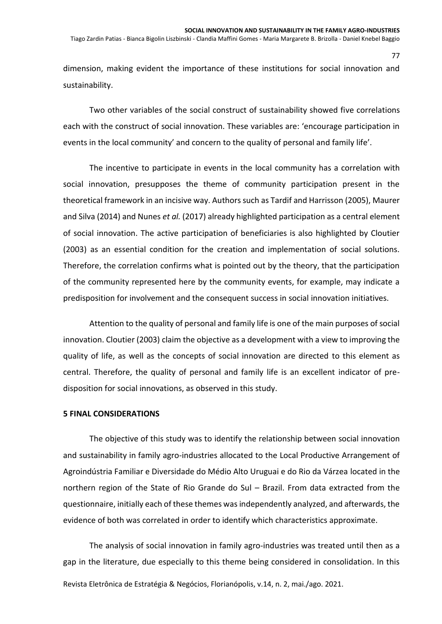Tiago Zardin Patias - Bianca Bigolin Liszbinski - Clandia Maffini Gomes - Maria Margarete B. Brizolla - Daniel Knebel Baggio

dimension, making evident the importance of these institutions for social innovation and sustainability.

Two other variables of the social construct of sustainability showed five correlations each with the construct of social innovation. These variables are: 'encourage participation in events in the local community' and concern to the quality of personal and family life'.

The incentive to participate in events in the local community has a correlation with social innovation, presupposes the theme of community participation present in the theoretical framework in an incisive way. Authors such as Tardif and Harrisson (2005), Maurer and Silva (2014) and Nunes *et al.* (2017) already highlighted participation as a central element of social innovation. The active participation of beneficiaries is also highlighted by Cloutier (2003) as an essential condition for the creation and implementation of social solutions. Therefore, the correlation confirms what is pointed out by the theory, that the participation of the community represented here by the community events, for example, may indicate a predisposition for involvement and the consequent success in social innovation initiatives.

Attention to the quality of personal and family life is one of the main purposes of social innovation. Cloutier (2003) claim the objective as a development with a view to improving the quality of life, as well as the concepts of social innovation are directed to this element as central. Therefore, the quality of personal and family life is an excellent indicator of predisposition for social innovations, as observed in this study.

### **5 FINAL CONSIDERATIONS**

The objective of this study was to identify the relationship between social innovation and sustainability in family agro-industries allocated to the Local Productive Arrangement of Agroindústria Familiar e Diversidade do Médio Alto Uruguai e do Rio da Várzea located in the northern region of the State of Rio Grande do Sul – Brazil. From data extracted from the questionnaire, initially each of these themes was independently analyzed, and afterwards, the evidence of both was correlated in order to identify which characteristics approximate.

Revista Eletrônica de Estratégia & Negócios, Florianópolis, v.14, n. 2, mai./ago. 2021. The analysis of social innovation in family agro-industries was treated until then as a gap in the literature, due especially to this theme being considered in consolidation. In this

77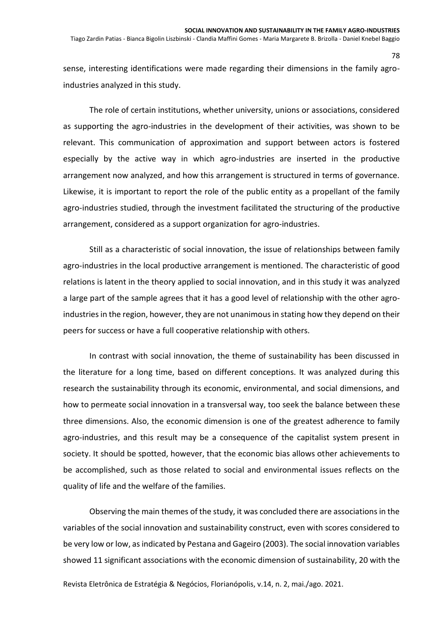sense, interesting identifications were made regarding their dimensions in the family agroindustries analyzed in this study.

The role of certain institutions, whether university, unions or associations, considered as supporting the agro-industries in the development of their activities, was shown to be relevant. This communication of approximation and support between actors is fostered especially by the active way in which agro-industries are inserted in the productive arrangement now analyzed, and how this arrangement is structured in terms of governance. Likewise, it is important to report the role of the public entity as a propellant of the family agro-industries studied, through the investment facilitated the structuring of the productive arrangement, considered as a support organization for agro-industries.

Still as a characteristic of social innovation, the issue of relationships between family agro-industries in the local productive arrangement is mentioned. The characteristic of good relations is latent in the theory applied to social innovation, and in this study it was analyzed a large part of the sample agrees that it has a good level of relationship with the other agroindustries in the region, however, they are not unanimous in stating how they depend on their peers for success or have a full cooperative relationship with others.

In contrast with social innovation, the theme of sustainability has been discussed in the literature for a long time, based on different conceptions. It was analyzed during this research the sustainability through its economic, environmental, and social dimensions, and how to permeate social innovation in a transversal way, too seek the balance between these three dimensions. Also, the economic dimension is one of the greatest adherence to family agro-industries, and this result may be a consequence of the capitalist system present in society. It should be spotted, however, that the economic bias allows other achievements to be accomplished, such as those related to social and environmental issues reflects on the quality of life and the welfare of the families.

Observing the main themes of the study, it was concluded there are associations in the variables of the social innovation and sustainability construct, even with scores considered to be very low or low, as indicated by Pestana and Gageiro (2003). The social innovation variables showed 11 significant associations with the economic dimension of sustainability, 20 with the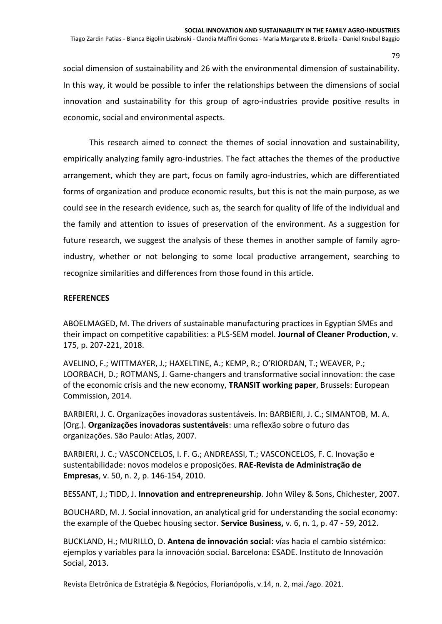Tiago Zardin Patias - Bianca Bigolin Liszbinski - Clandia Maffini Gomes - Maria Margarete B. Brizolla - Daniel Knebel Baggio

social dimension of sustainability and 26 with the environmental dimension of sustainability. In this way, it would be possible to infer the relationships between the dimensions of social innovation and sustainability for this group of agro-industries provide positive results in economic, social and environmental aspects.

This research aimed to connect the themes of social innovation and sustainability, empirically analyzing family agro-industries. The fact attaches the themes of the productive arrangement, which they are part, focus on family agro-industries, which are differentiated forms of organization and produce economic results, but this is not the main purpose, as we could see in the research evidence, such as, the search for quality of life of the individual and the family and attention to issues of preservation of the environment. As a suggestion for future research, we suggest the analysis of these themes in another sample of family agroindustry, whether or not belonging to some local productive arrangement, searching to recognize similarities and differences from those found in this article.

# **REFERENCES**

ABOELMAGED, M. The drivers of sustainable manufacturing practices in Egyptian SMEs and their impact on competitive capabilities: a PLS-SEM model. **Journal of Cleaner Production**, v. 175, p. 207-221, 2018.

AVELINO, F.; WITTMAYER, J.; HAXELTINE, A.; KEMP, R.; O'RIORDAN, T.; WEAVER, P.; LOORBACH, D.; ROTMANS, J. Game-changers and transformative social innovation: the case of the economic crisis and the new economy, **TRANSIT working paper**, Brussels: European Commission, 2014.

BARBIERI, J. C. Organizações inovadoras sustentáveis. In: BARBIERI, J. C.; SIMANTOB, M. A. (Org.). **Organizações inovadoras sustentáveis**: uma reflexão sobre o futuro das organizações. São Paulo: Atlas, 2007.

BARBIERI, J. C.; VASCONCELOS, I. F. G.; ANDREASSI, T.; VASCONCELOS, F. C. Inovação e sustentabilidade: novos modelos e proposições. **RAE-Revista de Administração de Empresas**, v. 50, n. 2, p. 146-154, 2010.

BESSANT, J.; TIDD, J. **Innovation and entrepreneurship**. John Wiley & Sons, Chichester, 2007.

BOUCHARD, M. J. Social innovation, an analytical grid for understanding the social economy: the example of the Quebec housing sector. **Service Business,** v. 6, n. 1, p. 47 - 59, 2012.

BUCKLAND, H.; MURILLO, D. **Antena de innovación social**: vías hacia el cambio sistémico: ejemplos y variables para la innovación social. Barcelona: ESADE. Instituto de Innovación Social, 2013.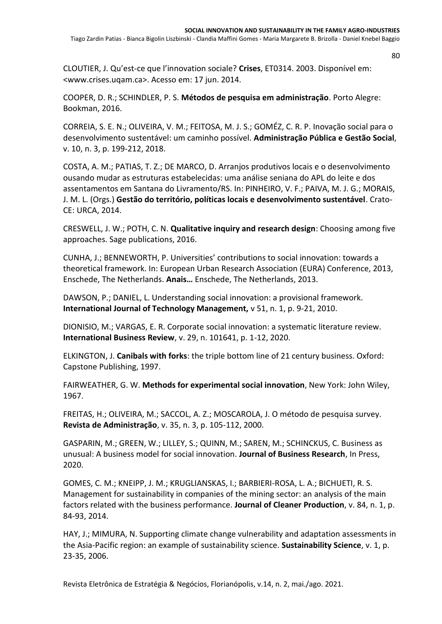Tiago Zardin Patias - Bianca Bigolin Liszbinski - Clandia Maffini Gomes - Maria Margarete B. Brizolla - Daniel Knebel Baggio

CLOUTIER, J. Qu'est-ce que l'innovation sociale? **Crises**, ET0314. 2003. Disponível em: [<www.crises.uqam.ca>](http://www.crises.uqam.ca/). Acesso em: 17 jun. 2014.

COOPER, D. R.; SCHINDLER, P. S. **Métodos de pesquisa em administração**. Porto Alegre: Bookman, 2016.

CORREIA, S. E. N.; OLIVEIRA, V. M.; FEITOSA, M. J. S.; GOMÉZ, C. R. P. Inovação social para o desenvolvimento sustentável: um caminho possível. **Administração Pública e Gestão Social**, v. 10, n. 3, p. 199-212, 2018.

COSTA, A. M.; PATIAS, T. Z.; DE MARCO, D. Arranjos produtivos locais e o desenvolvimento ousando mudar as estruturas estabelecidas: uma análise seniana do APL do leite e dos assentamentos em Santana do Livramento/RS. In: PINHEIRO, V. F.; PAIVA, M. J. G.; MORAIS, J. M. L. (Orgs.) **Gestão do território, políticas locais e desenvolvimento sustentável**. Crato-CE: URCA, 2014.

CRESWELL, J. W.; POTH, C. N. **Qualitative inquiry and research design**: Choosing among five approaches. Sage publications, 2016.

CUNHA, J.; BENNEWORTH, P. Universities' contributions to social innovation: towards a theoretical framework. In: European Urban Research Association (EURA) Conference, 2013, Enschede, The Netherlands. **Anais…** Enschede, The Netherlands, 2013.

DAWSON, P.; DANIEL, L. Understanding social innovation: a provisional framework. **International Journal of Technology Management,** v 51, n. 1, p. 9-21, 2010.

DIONISIO, M.; VARGAS, E. R. Corporate social innovation: a systematic literature review. **International Business Review**, v. 29, n. 101641, p. 1-12, 2020.

ELKINGTON, J. **Canibals with forks**: the triple bottom line of 21 century business. Oxford: Capstone Publishing, 1997.

FAIRWEATHER, G. W. **Methods for experimental social innovation**, New York: John Wiley, 1967.

FREITAS, H.; OLIVEIRA, M.; SACCOL, A. Z.; MOSCAROLA, J. O método de pesquisa survey. **Revista de Administração**, v. 35, n. 3, p. 105-112, 2000.

GASPARIN, M.; GREEN, W.; LILLEY, S.; QUINN, M.; SAREN, M.; SCHINCKUS, C. Business as unusual: A business model for social innovation. **Journal of Business Research**, In Press, 2020.

GOMES, C. M.; KNEIPP, J. M.; KRUGLIANSKAS, I.; BARBIERI-ROSA, L. A.; BICHUETI, R. S. Management for sustainability in companies of the mining sector: an analysis of the main factors related with the business performance. **Journal of Cleaner Production**, v. 84, n. 1, p. 84-93, 2014.

HAY, J.; MIMURA, N. Supporting climate change vulnerability and adaptation assessments in the Asia-Pacific region: an example of sustainability science. **Sustainability Science**, v. 1, p. 23-35, 2006.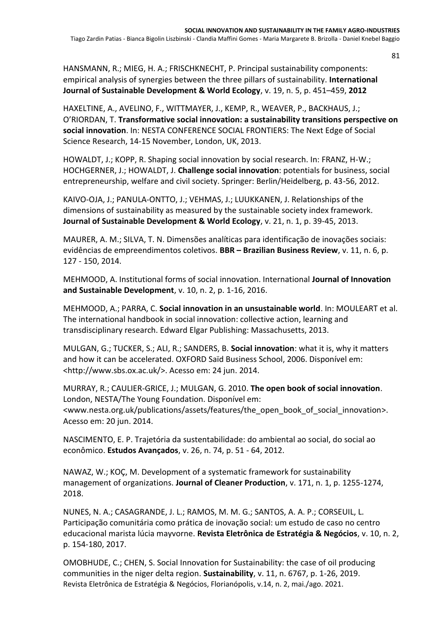HANSMANN, R.; MIEG, H. A.; FRISCHKNECHT, P. Principal sustainability components: empirical analysis of synergies between the three pillars of sustainability. **International Journal of Sustainable Development & World Ecology**, v. 19, n. 5, p. 451–459, **2012**

HAXELTINE, A., AVELINO, F., WITTMAYER, J., KEMP, R., WEAVER, P., BACKHAUS, J.; O'RIORDAN, T. **Transformative social innovation: a sustainability transitions perspective on social innovation**. In: NESTA CONFERENCE SOCIAL FRONTIERS: The Next Edge of Social Science Research, 14-15 November, London, UK, 2013.

HOWALDT, J.; KOPP, R. Shaping social innovation by social research. In: FRANZ, H-W.; HOCHGERNER, J.; HOWALDT, J. **Challenge social innovation**: potentials for business, social entrepreneurship, welfare and civil society. Springer: Berlin/Heidelberg, p. 43-56, 2012.

KAIVO-OJA, J.; PANULA-ONTTO, J.; VEHMAS, J.; LUUKKANEN, J. Relationships of the dimensions of sustainability as measured by the sustainable society index framework. **Journal of Sustainable Development & World Ecology**, v. 21, n. 1, p. 39-45, 2013.

MAURER, A. M.; SILVA, T. N. Dimensões analíticas para identificação de inovações sociais: evidências de empreendimentos coletivos. **BBR – Brazilian Business Review**, v. 11, n. 6, p. 127 - 150, 2014.

MEHMOOD, A. Institutional forms of social innovation. International **Journal of Innovation and Sustainable Development**, v. 10, n. 2, p. 1-16, 2016.

MEHMOOD, A.; PARRA, C. **Social innovation in an unsustainable world**. In: MOULEART et al. The international handbook in social innovation: collective action, learning and transdisciplinary research. Edward Elgar Publishing: Massachusetts, 2013.

MULGAN, G.; TUCKER, S.; ALI, R.; SANDERS, B. **Social innovation**: what it is, why it matters and how it can be accelerated. OXFORD Saïd Business School, 2006. Disponível em: [<http://www.sbs.ox.ac.uk/>](http://www.sbs.ox.ac.uk/). Acesso em: 24 jun. 2014.

MURRAY, R.; CAULIER-GRICE, J.; MULGAN, G. 2010. **The open book of social innovation**. London, NESTA/The Young Foundation. Disponível em: [<www.nesta.org.uk/publications/assets/features/the\\_open\\_book\\_of\\_social\\_innovation>](http://www.nesta.org.uk/publications/assets/features/the_open_book_of_social_innovation). Acesso em: 20 jun. 2014.

NASCIMENTO, E. P. Trajetória da sustentabilidade: do ambiental ao social, do social ao econômico. **Estudos Avançados**, v. 26, n. 74, p. 51 - 64, 2012.

NAWAZ, W.; KOÇ, M. Development of a systematic framework for sustainability management of organizations. **Journal of Cleaner Production**, v. 171, n. 1, p. 1255-1274, 2018.

NUNES, N. A.; CASAGRANDE, J. L.; RAMOS, M. M. G.; SANTOS, A. A. P.; CORSEUIL, L. Participação comunitária como prática de inovação social: um estudo de caso no centro educacional marista lúcia mayvorne. **Revista Eletrônica de Estratégia & Negócios**, v. 10, n. 2, p. 154-180, 2017.

Revista Eletrônica de Estratégia & Negócios, Florianópolis, v.14, n. 2, mai./ago. 2021. OMOBHUDE, C.; CHEN, S. Social Innovation for Sustainability: the case of oil producing communities in the niger delta region. **Sustainability**, v. 11, n. 6767, p. 1-26, 2019.